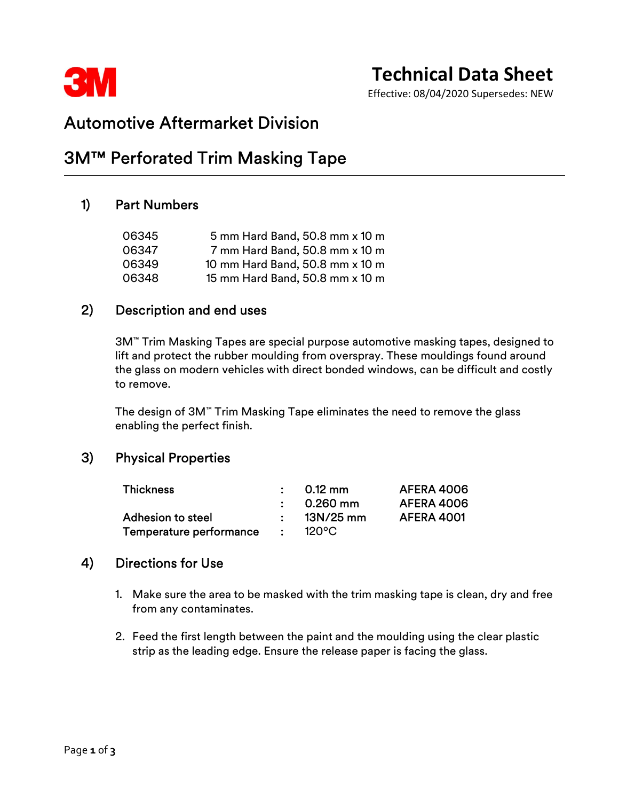

## Technical Data Sheet

Effective: 08/04/2020 Supersedes: NEW

## Automotive Aftermarket Division

## 3M™ Perforated Trim Masking Tape

#### 1) Part Numbers

| 06345 | 5 mm Hard Band, 50.8 mm x 10 m  |  |
|-------|---------------------------------|--|
| 06347 | 7 mm Hard Band, 50.8 mm x 10 m  |  |
| 06349 | 10 mm Hard Band, 50.8 mm x 10 m |  |
| 06348 | 15 mm Hard Band, 50.8 mm x 10 m |  |

#### 2) Description and end uses

 3M™ Trim Masking Tapes are special purpose automotive masking tapes, designed to lift and protect the rubber moulding from overspray. These mouldings found around the glass on modern vehicles with direct bonded windows, can be difficult and costly to remove.

The design of 3M™ Trim Masking Tape eliminates the need to remove the glass enabling the perfect finish.

#### 3) Physical Properties

| <b>Thickness</b>         | $\bullet$ . $\bullet$<br>$\bullet$ . | $0.12 \text{ mm}$<br>0.260 mm | <b>AFERA 4006</b><br><b>AFERA 4006</b> |
|--------------------------|--------------------------------------|-------------------------------|----------------------------------------|
| <b>Adhesion to steel</b> |                                      | 13N/25 mm                     | <b>AFERA 4001</b>                      |
| Temperature performance  |                                      | $120^{\circ}$ C               |                                        |

#### 4) Directions for Use

- 1. Make sure the area to be masked with the trim masking tape is clean, dry and free from any contaminates.
- 2. Feed the first length between the paint and the moulding using the clear plastic strip as the leading edge. Ensure the release paper is facing the glass.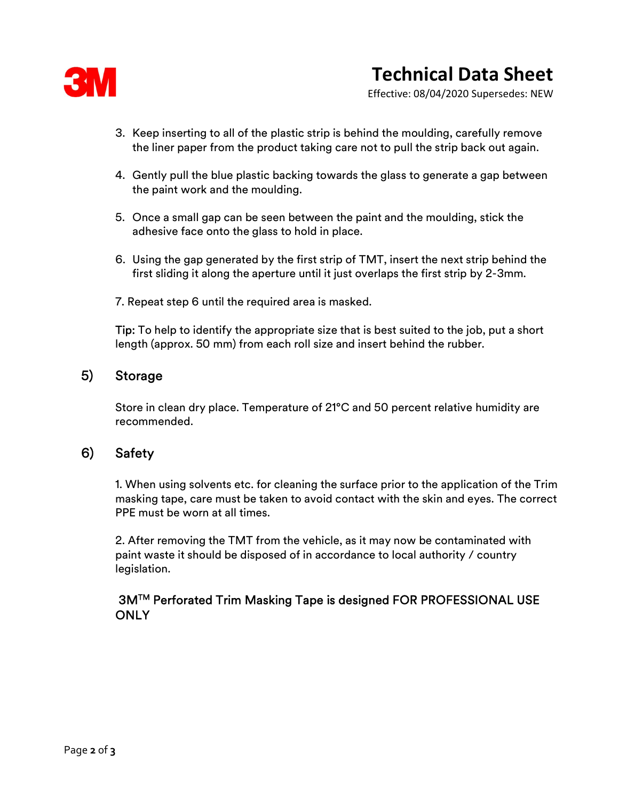

Effective: 08/04/2020 Supersedes: NEW

- 3. Keep inserting to all of the plastic strip is behind the moulding, carefully remove the liner paper from the product taking care not to pull the strip back out again.
- 4. Gently pull the blue plastic backing towards the glass to generate a gap between the paint work and the moulding.
- 5. Once a small gap can be seen between the paint and the moulding, stick the adhesive face onto the glass to hold in place.
- 6. Using the gap generated by the first strip of TMT, insert the next strip behind the first sliding it along the aperture until it just overlaps the first strip by 2-3mm.
- 7. Repeat step 6 until the required area is masked.

**Tip:** To help to identify the appropriate size that is best suited to the job, put a short length (approx. 50 mm) from each roll size and insert behind the rubber.

#### 5) Storage

 Store in clean dry place. Temperature of 21°C and 50 percent relative humidity are recommended.

#### 6) Safety

 1. When using solvents etc. for cleaning the surface prior to the application of the Trim masking tape, care must be taken to avoid contact with the skin and eyes. The correct PPE must be worn at all times.

2. After removing the TMT from the vehicle, as it may now be contaminated with paint waste it should be disposed of in accordance to local authority / country legislation.

#### 3MTM Perforated Trim Masking Tape is designed FOR PROFESSIONAL USE **ONLY**